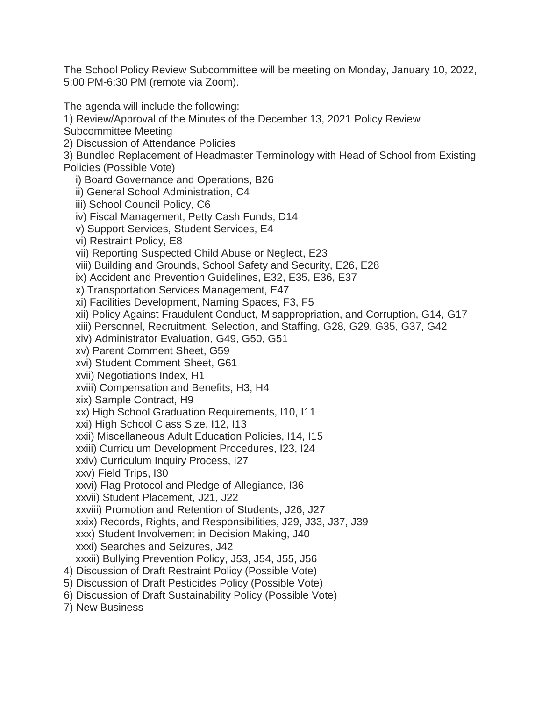The School Policy Review Subcommittee will be meeting on Monday, January 10, 2022, 5:00 PM-6:30 PM (remote via Zoom).

The agenda will include the following:

1) Review/Approval of the Minutes of the December 13, 2021 Policy Review

Subcommittee Meeting

2) Discussion of Attendance Policies

3) Bundled Replacement of Headmaster Terminology with Head of School from Existing Policies (Possible Vote)

i) Board Governance and Operations, B26

ii) General School Administration, C4

iii) School Council Policy, C6

iv) Fiscal Management, Petty Cash Funds, D14

v) Support Services, Student Services, E4

vi) Restraint Policy, E8

vii) Reporting Suspected Child Abuse or Neglect, E23

viii) Building and Grounds, School Safety and Security, E26, E28

ix) Accident and Prevention Guidelines, E32, E35, E36, E37

x) Transportation Services Management, E47

xi) Facilities Development, Naming Spaces, F3, F5

xii) Policy Against Fraudulent Conduct, Misappropriation, and Corruption, G14, G17

xiii) Personnel, Recruitment, Selection, and Staffing, G28, G29, G35, G37, G42

xiv) Administrator Evaluation, G49, G50, G51

xv) Parent Comment Sheet, G59

xvi) Student Comment Sheet, G61

xvii) Negotiations Index, H1

xviii) Compensation and Benefits, H3, H4

xix) Sample Contract, H9

xx) High School Graduation Requirements, I10, I11

xxi) High School Class Size, I12, I13

xxii) Miscellaneous Adult Education Policies, I14, I15

xxiii) Curriculum Development Procedures, I23, I24

xxiv) Curriculum Inquiry Process, I27

xxv) Field Trips, I30

xxvi) Flag Protocol and Pledge of Allegiance, I36

xxvii) Student Placement, J21, J22

xxviii) Promotion and Retention of Students, J26, J27

xxix) Records, Rights, and Responsibilities, J29, J33, J37, J39

xxx) Student Involvement in Decision Making, J40

xxxi) Searches and Seizures, J42

xxxii) Bullying Prevention Policy, J53, J54, J55, J56

4) Discussion of Draft Restraint Policy (Possible Vote)

5) Discussion of Draft Pesticides Policy (Possible Vote)

6) Discussion of Draft Sustainability Policy (Possible Vote)

7) New Business